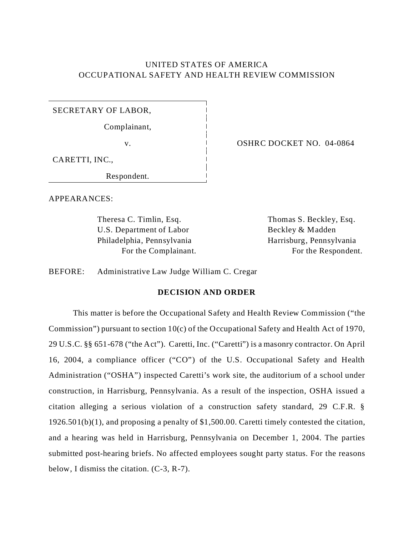# UNITED STATES OF AMERICA OCCUPATIONAL SAFETY AND HEALTH REVIEW COMMISSION

SECRETARY OF LABOR,

Complainant,

CARETTI, INC.,

Respondent.

APPEARANCES:

Theresa C. Timlin, Esq. Thomas S. Beckley, Esq. U.S. Department of Labor Beckley & Madden Philadelphia, Pennsylvania Harrisburg, Pennsylvania

v. CONTR C DOCKET NO. 04-0864

For the Complainant. For the Respondent.

BEFORE: Administrative Law Judge William C. Cregar

## **DECISION AND ORDER**

This matter is before the Occupational Safety and Health Review Commission ("the Commission") pursuant to section 10(c) of the Occupational Safety and Health Act of 1970, 29 U.S.C. §§ 651-678 ("the Act"). Caretti, Inc. ("Caretti") is a masonry contractor. On April 16, 2004, a compliance officer ("CO") of the U.S. Occupational Safety and Health Administration ("OSHA") inspected Caretti's work site, the auditorium of a school under construction, in Harrisburg, Pennsylvania. As a result of the inspection, OSHA issued a citation alleging a serious violation of a construction safety standard, 29 C.F.R. § 1926.501(b)(1), and proposing a penalty of \$1,500.00. Caretti timely contested the citation, and a hearing was held in Harrisburg, Pennsylvania on December 1, 2004. The parties submitted post-hearing briefs. No affected employees sought party status. For the reasons below, I dismiss the citation. (C-3, R-7).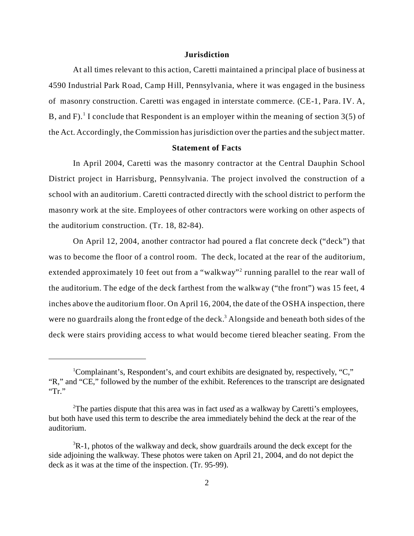### **Jurisdiction**

At all times relevant to this action, Caretti maintained a principal place of business at 4590 Industrial Park Road, Camp Hill, Pennsylvania, where it was engaged in the business of masonry construction. Caretti was engaged in interstate commerce. (CE-1, Para. IV. A, B, and F).<sup>1</sup> I conclude that Respondent is an employer within the meaning of section  $3(5)$  of the Act. Accordingly, the Commission has jurisdiction over the parties and the subject matter.

### **Statement of Facts**

In April 2004, Caretti was the masonry contractor at the Central Dauphin School District project in Harrisburg, Pennsylvania. The project involved the construction of a school with an auditorium. Caretti contracted directly with the school district to perform the masonry work at the site. Employees of other contractors were working on other aspects of the auditorium construction. (Tr. 18, 82-84).

On April 12, 2004, another contractor had poured a flat concrete deck ("deck") that was to become the floor of a control room. The deck, located at the rear of the auditorium, extended approximately 10 feet out from a "walkway"<sup>2</sup> running parallel to the rear wall of the auditorium. The edge of the deck farthest from the walkway ("the front") was 15 feet, 4 inches above the auditorium floor. On April 16, 2004, the date of the OSHA inspection, there were no guardrails along the front edge of the deck.<sup>3</sup> Alongside and beneath both sides of the deck were stairs providing access to what would become tiered bleacher seating. From the

<sup>&</sup>lt;sup>1</sup>Complainant's, Respondent's, and court exhibits are designated by, respectively, "C," "R," and "CE," followed by the number of the exhibit. References to the transcript are designated "Tr."

<sup>2</sup> The parties dispute that this area was in fact *used* as a walkway by Caretti's employees, but both have used this term to describe the area immediately behind the deck at the rear of the auditorium.

 ${}^{3}R-1$ , photos of the walkway and deck, show guardrails around the deck except for the side adjoining the walkway. These photos were taken on April 21, 2004, and do not depict the deck as it was at the time of the inspection. (Tr. 95-99).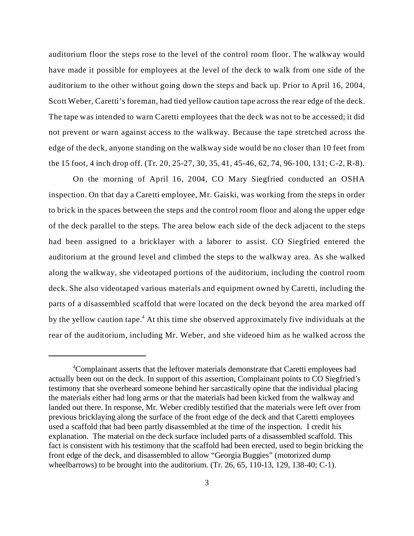auditorium floor the steps rose to the level of the control room floor. The walkway would have made it possible for employees at the level of the deck to walk from one side of the auditorium to the other without going down the steps and back up. Prior to April 16, 2004, Scott Weber, Caretti's foreman, had tied yellow caution tape across the rear edge of the deck. The tape was intended to warn Caretti employees that the deck was not to be accessed; it did not prevent or warn against access to the walkway. Because the tape stretched across the edge of the deck, anyone standing on the walkway side would be no closer than 10 feet from the 15 foot, 4 inch drop off. (Tr. 20, 25-27, 30, 35, 41, 45-46, 62, 74, 96-100, 131; C-2, R-8).

On the morning of April 16, 2004, CO Mary Siegfried conducted an OSHA inspection. On that day a Caretti employee, Mr. Gaiski, was working from the steps in order to brick in the spaces between the steps and the control room floor and along the upper edge of the deck parallel to the steps. The area below each side of the deck adjacent to the steps had been assigned to a bricklayer with a laborer to assist. CO Siegfried entered the auditorium at the ground level and climbed the steps to the walkway area. As she walked along the walkway, she videotaped portions of the auditorium, including the control room deck. She also videotaped various materials and equipment owned by Caretti, including the parts of a disassembled scaffold that were located on the deck beyond the area marked off by the yellow caution tape.<sup>4</sup> At this time she observed approximately five individuals at the rear of the auditorium, including Mr. Weber, and she videoed him as he walked across the

<sup>&</sup>lt;sup>4</sup>Complainant asserts that the leftover materials demonstrate that Caretti employees had actually been out on the deck. In support of this assertion, Complainant points to CO Siegfried's testimony that she overheard someone behind her sarcastically opine that the individual placing the materials either had long arms or that the materials had been kicked from the walkway and landed out there. In response, Mr. Weber credibly testified that the materials were left over from previous bricklaying along the surface of the front edge of the deck and that Caretti employees used a scaffold that had been partly disassembled at the time of the inspection. I credit his explanation. The material on the deck surface included parts of a disassembled scaffold. This fact is consistent with his testimony that the scaffold had been erected, used to begin bricking the front edge of the deck, and disassembled to allow "Georgia Buggies" (motorized dump wheelbarrows) to be brought into the auditorium. (Tr. 26, 65, 110-13, 129, 138-40; C-1).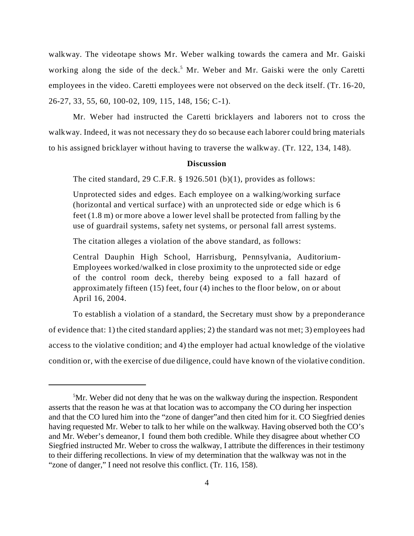walkway. The videotape shows Mr. Weber walking towards the camera and Mr. Gaiski working along the side of the deck.<sup>5</sup> Mr. Weber and Mr. Gaiski were the only Caretti employees in the video. Caretti employees were not observed on the deck itself. (Tr. 16-20, 26-27, 33, 55, 60, 100-02, 109, 115, 148, 156; C-1).

Mr. Weber had instructed the Caretti bricklayers and laborers not to cross the walkway. Indeed, it was not necessary they do so because each laborer could bring materials to his assigned bricklayer without having to traverse the walkway. (Tr. 122, 134, 148).

## **Discussion**

The cited standard, 29 C.F.R.  $\S$  1926.501 (b)(1), provides as follows:

Unprotected sides and edges. Each employee on a walking/working surface (horizontal and vertical surface) with an unprotected side or edge which is 6 feet (1.8 m) or more above a lower level shall be protected from falling by the use of guardrail systems, safety net systems, or personal fall arrest systems.

The citation alleges a violation of the above standard, as follows:

Central Dauphin High School, Harrisburg, Pennsylvania, Auditorium-Employees worked/walked in close proximity to the unprotected side or edge of the control room deck, thereby being exposed to a fall hazard of approximately fifteen (15) feet, four (4) inches to the floor below, on or about April 16, 2004.

To establish a violation of a standard, the Secretary must show by a preponderance of evidence that: 1) the cited standard applies; 2) the standard was not met; 3) employees had access to the violative condition; and 4) the employer had actual knowledge of the violative condition or, with the exercise of due diligence, could have known of the violative condition.

<sup>&</sup>lt;sup>5</sup>Mr. Weber did not deny that he was on the walkway during the inspection. Respondent asserts that the reason he was at that location was to accompany the CO during her inspection and that the CO lured him into the "zone of danger"and then cited him for it. CO Siegfried denies having requested Mr. Weber to talk to her while on the walkway. Having observed both the CO's and Mr. Weber's demeanor, I found them both credible. While they disagree about whether CO Siegfried instructed Mr. Weber to cross the walkway, I attribute the differences in their testimony to their differing recollections. In view of my determination that the walkway was not in the "zone of danger," I need not resolve this conflict. (Tr. 116, 158).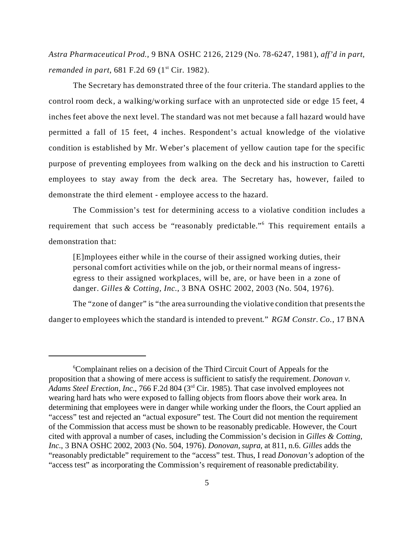*Astra Pharm aceutical Prod.,* 9 BNA OSHC 2126, 2129 (No. 78-6247, 1981), *aff'd in part, remanded in part*, 681 F.2d 69 (1<sup>st</sup> Cir. 1982).

The Secretary has demonstrated three of the four criteria. The standard applies to the control room deck, a walking/working surface with an unprotected side or edge 15 feet, 4 inches feet above the next level. The standard was not met because a fall hazard would have permitted a fall of 15 feet, 4 inches. Respondent's actual knowledge of the violative condition is established by Mr. Weber's placement of yellow caution tape for the specific purpose of preventing employees from walking on the deck and his instruction to Caretti employees to stay away from the deck area. The Secretary has, however, failed to demonstrate the third element - employee access to the hazard.

The Commission's test for determining access to a violative condition includes a requirement that such access be "reasonably predictable."<sup>6</sup> This requirement entails a demonstration that:

[E]mployees either while in the course of their assigned working duties, their personal comfort activities while on the job, or their normal means of ingressegress to their assigned workplaces, will be, are, or have been in a zone of danger. *Gilles & Cotting, Inc*., 3 BNA OSHC 2002, 2003 (No. 504, 1976).

The "zone of danger" is "the area surrounding the violative condition that presents the danger to employees which the standard is intended to prevent." *RGM Constr. Co.*, 17 BNA

<sup>6</sup> Complainant relies on a decision of the Third Circuit Court of Appeals for the proposition that a showing of mere access is sufficient to satisfy the requirement. *Donovan v. Adams Steel Erection, Inc*., 766 F.2d 804 (3rd Cir. 1985). That case involved employees not wearing hard hats who were exposed to falling objects from floors above their work area. In determining that employees were in danger while working under the floors, the Court applied an "access" test and rejected an "actual exposure" test. The Court did not mention the requirement of the Commission that access must be shown to be reasonably predicable. However, the Court cited with approval a number of cases, including the Commission's decision in *Gilles & Cotting, Inc*., 3 BNA OSHC 2002, 2003 (No. 504, 1976). *Donovan, supra*, at 811, n.6. *Gilles* adds the "reasonably predictable" requirement to the "access" test. Thus, I read *Donovan's* adoption of the "access test" as incorporating the Commission's requirement of reasonable predictability.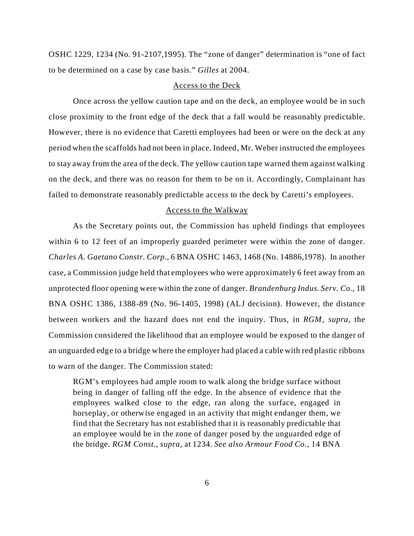OSHC 1229, 1234 (No. 91-2107,1995). The "zone of danger" determination is "one of fact to be determined on a case by case basis." *Gilles* at 2004.

### Access to the Deck

Once across the yellow caution tape and on the deck, an employee would be in such close proximity to the front edge of the deck that a fall would be reasonably predictable. However, there is no evidence that Caretti employees had been or were on the deck at any period when the scaffolds had not been in place. Indeed, Mr. Weber instructed the employees to stay away from the area of the deck. The yellow caution tape warned them against walking on the deck, and there was no reason for them to be on it. Accordingly, Complainant has failed to demonstrate reasonably predictable access to the deck by Caretti's employees.

#### Access to the Walkway

As the Secretary points out, the Commission has upheld findings that employees within 6 to 12 feet of an improperly guarded perimeter were within the zone of danger. *Charles A. Gaetano Constr. Corp.*, 6 BNA OSHC 1463, 1468 (No. 14886,1978). In another case, a Commission judge held that employees who were approximately 6 feet away from an unprotected floor opening were within the zone of danger. *Brandenburg Indus. Serv. Co.*, 18 BNA OSHC 1386, 1388-89 (No. 96-1405, 1998) (ALJ decision). However, the distance between workers and the hazard does not end the inquiry. Thus, in *RGM*, *supra*, the Commission considered the likelihood that an employee would be exposed to the danger of an unguarded edge to a bridge where the employer had placed a cable with red plastic ribbons to warn of the danger. The Commission stated:

RGM's employees had ample room to walk along the bridge surface without being in danger of falling off the edge. In the absence of evidence that the employees walked close to the edge, ran along the surface, engaged in horseplay, or otherwise engaged in an activity that might endanger them, we find that the Secretary has not established that it is reasonably predictable that an employee would be in the zone of danger posed by the unguarded edge of the bridge. *RGM Const.*, *supra*, at 1234. *See also Armour Food Co.,* 14 BNA